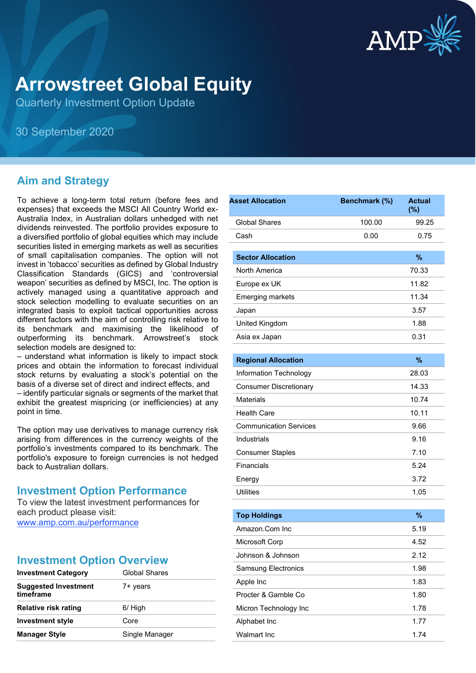

# **Arrowstreet Global Equity**

Quarterly Investment Option Update

30 September 2020

# **Aim and Strategy**

To achieve a long-term total return (before fees and expenses) that exceeds the MSCI All Country World ex-Australia Index, in Australian dollars unhedged with net dividends reinvested. The portfolio provides exposure to a diversified portfolio of global equities which may include securities listed in emerging markets as well as securities of small capitalisation companies. The option will not invest in 'tobacco' securities as defined by Global Industry Classification Standards (GICS) and 'controversial weapon' securities as defined by MSCI, Inc. The option is actively managed using a quantitative approach and stock selection modelling to evaluate securities on an integrated basis to exploit tactical opportunities across different factors with the aim of controlling risk relative to its benchmark and maximising the likelihood of outperforming its benchmark. Arrowstreet's stock selection models are designed to:

– understand what information is likely to impact stock prices and obtain the information to forecast individual stock returns by evaluating a stock's potential on the basis of a diverse set of direct and indirect effects, and

– identify particular signals or segments of the market that exhibit the greatest mispricing (or inefficiencies) at any point in time.

The option may use derivatives to manage currency risk arising from differences in the currency weights of the portfolio's investments compared to its benchmark. The portfolio's exposure to foreign currencies is not hedged back to Australian dollars.

# **Investment Option Performance**

To view the latest investment performances for each product please visit: [www.amp.com.au/performance](https://www.amp.com.au/performance)

# **Investment Option Overview**

| <b>Investment Category</b>               | Global Shares  |  |
|------------------------------------------|----------------|--|
| <b>Suggested Investment</b><br>timeframe | 7+ years       |  |
| <b>Relative risk rating</b>              | 6/ High        |  |
| <b>Investment style</b>                  | Core           |  |
| <b>Manager Style</b>                     | Single Manager |  |

| <b>Asset Allocation</b>       | Benchmark (%) | <b>Actual</b><br>$(\%)$ |
|-------------------------------|---------------|-------------------------|
| <b>Global Shares</b>          | 100.00        | 99.25                   |
| Cash                          | 0.00          | 0.75                    |
| <b>Sector Allocation</b>      |               | %                       |
| North America                 |               | 70.33                   |
| Europe ex UK                  |               | 11.82                   |
| <b>Emerging markets</b>       |               | 11.34                   |
| Japan                         |               | 3.57                    |
| United Kingdom                |               | 1.88                    |
| Asia ex Japan                 |               | 0.31                    |
| <b>Regional Allocation</b>    |               | %                       |
| Information Technology        |               | 28.03                   |
| <b>Consumer Discretionary</b> |               | 14.33                   |
| <b>Materials</b>              |               | 10.74                   |
| <b>Health Care</b>            |               | 10.11                   |
| <b>Communication Services</b> |               | 9.66                    |
| Industrials                   |               | 9.16                    |
| <b>Consumer Staples</b>       |               | 7.10                    |
| Financials                    |               | 5.24                    |
| Energy                        |               | 3.72                    |
| <b>Utilities</b>              |               | 1.05                    |
| <b>Top Holdings</b>           |               | $\%$                    |
| Amazon.Com Inc                |               | 5.19                    |
| Microsoft Corp                |               | 4.52                    |
| Johnson & Johnson             |               | 2.12                    |
| Samsung Electronics           |               | 1.98                    |
| Apple Inc                     |               | 1.83                    |
| Procter & Gamble Co           |               | 1.80                    |
| Micron Technology Inc         |               | 1.78                    |
| Alphabet Inc                  |               | 1.77                    |
| Walmart Inc                   |               | 1.74                    |